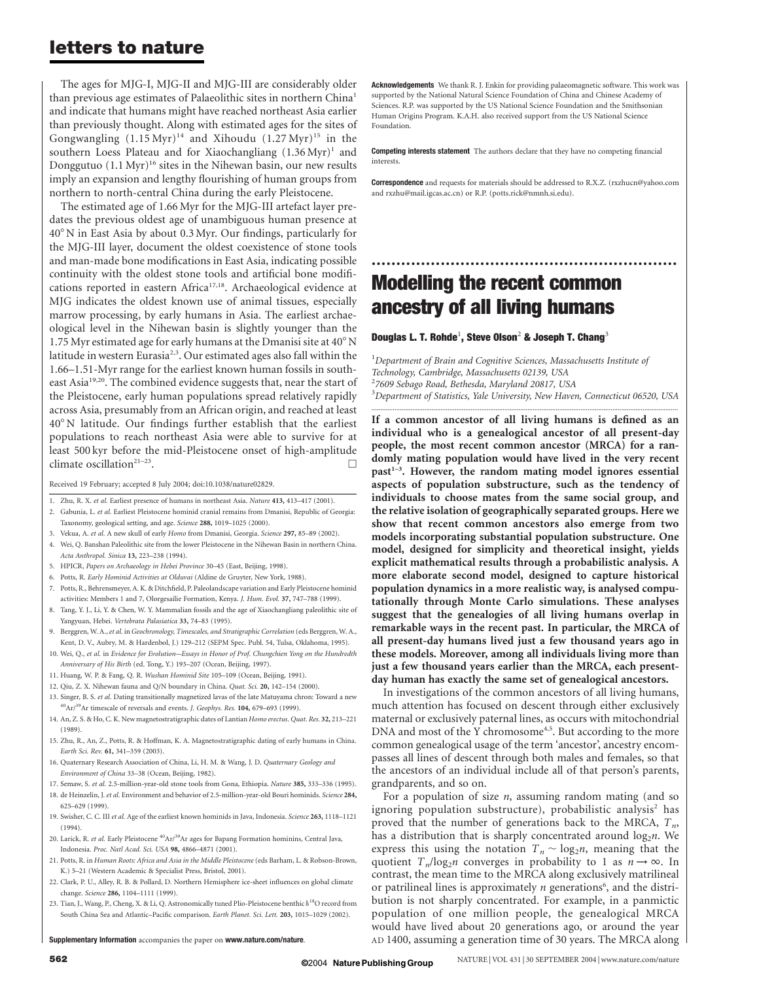## letters to nature

The ages for MJG-I, MJG-II and MJG-III are considerably older than previous age estimates of Palaeolithic sites in northern China<sup>1</sup> and indicate that humans might have reached northeast Asia earlier than previously thought. Along with estimated ages for the sites of Gongwangling  $(1.15 \text{ Myr})^{14}$  and Xihoudu  $(1.27 \text{ Myr})^{15}$  in the southern Loess Plateau and for Xiaochangliang  $(1.36 \,\mathrm{Myr})^1$  and Donggutuo  $(1.1 \text{ Myr})^{16}$  sites in the Nihewan basin, our new results imply an expansion and lengthy flourishing of human groups from northern to north-central China during the early Pleistocene.

The estimated age of 1.66 Myr for the MJG-III artefact layer predates the previous oldest age of unambiguous human presence at 408 N in East Asia by about 0.3 Myr. Our findings, particularly for the MJG-III layer, document the oldest coexistence of stone tools and man-made bone modifications in East Asia, indicating possible continuity with the oldest stone tools and artificial bone modifications reported in eastern Africa<sup>17,18</sup>. Archaeological evidence at MJG indicates the oldest known use of animal tissues, especially marrow processing, by early humans in Asia. The earliest archaeological level in the Nihewan basin is slightly younger than the 1.75 Myr estimated age for early humans at the Dmanisi site at  $40^{\circ}$  N latitude in western Eurasia<sup>2,3</sup>. Our estimated ages also fall within the 1.66–1.51-Myr range for the earliest known human fossils in southeast Asia<sup>19,20</sup>. The combined evidence suggests that, near the start of the Pleistocene, early human populations spread relatively rapidly across Asia, presumably from an African origin, and reached at least 408 N latitude. Our findings further establish that the earliest populations to reach northeast Asia were able to survive for at least 500 kyr before the mid-Pleistocene onset of high-amplitude climate oscillation<sup>21-23</sup>.

Received 19 February; accepted 8 July 2004; doi:10.1038/nature02829.

- 1. Zhu, R. X. et al. Earliest presence of humans in northeast Asia. Nature 413, 413–417 (2001).
- 2. Gabunia, L. et al. Earliest Pleistocene hominid cranial remains from Dmanisi, Republic of Georgia: Taxonomy, geological setting, and age. Science 288, 1019–1025 (2000).
- 3. Vekua, A. et al. A new skull of early Homo from Dmanisi, Georgia. Science 297, 85–89 (2002). 4. Wei, Q. Banshan Paleolithic site from the lower Pleistocene in the Nihewan Basin in northern China.
- Acta Anthropol. Sinica 13, 223–238 (1994).
- 5. HPICR, Papers on Archaeology in Hebei Province 30–45 (East, Beijing, 1998).
- 6. Potts, R. Early Hominid Activities at Olduvai (Aldine de Gruyter, New York, 1988).
- 7. Potts, R., Behrensmeyer, A. K. & Ditchfield, P. Paleolandscape variation and Early Pleistocene hominid activities: Members 1 and 7, Olorgesailie Formation, Kenya. J. Hum. Evol. 37, 747–788 (1999).
- 8. Tang, Y. J., Li, Y. & Chen, W. Y. Mammalian fossils and the age of Xiaochangliang paleolithic site of Yangyuan, Hebei. Vertebrata Palasiatica 33, 74–83 (1995).
- 9. Berggren, W. A., et al. in Geochronology, Timescales, and Stratigraphic Correlation (eds Berggren, W. A., Kent, D. V., Aubry, M. & Hardenbol, J.) 129–212 (SEPM Spec. Publ. 54, Tulsa, Oklahoma, 1995).
- 10. Wei, Q., et al. in Evidence for Evolution—Essays in Honor of Prof. Chungchien Yong on the Hundredth Anniversary of His Birth (ed. Tong, Y.) 193–207 (Ocean, Beijing, 1997).
- 11. Huang, W. P. & Fang, Q. R. Wushan Hominid Site 105–109 (Ocean, Beijing, 1991).
- 12. Qiu, Z. X. Nihewan fauna and Q/N boundary in China. Quat. Sci. 20, 142–154 (2000).
- 13. Singer, B. S. et al. Dating transitionally magnetized lavas of the late Matuyama chron: Toward a new  $^{40}$ Ar/ $^{39}$ Ar timescale of reversals and events. J. Geophys. Res. 104, 679–693 (1999).
- 14. An, Z. S. & Ho, C. K. New magnetostratigraphic dates of Lantian Homo erectus. Quat. Res. 32, 213–221 (1989).
- 15. Zhu, R., An, Z., Potts, R. & Hoffman, K. A. Magnetostratigraphic dating of early humans in China. Earth Sci. Rev. 61, 341–359 (2003).
- 16. Quaternary Research Association of China, Li, H. M. & Wang, J. D. Quaternary Geology and Environment of China 33–38 (Ocean, Beijing, 1982).
- 17. Semaw, S. et al. 2.5-million-year-old stone tools from Gona, Ethiopia. Nature 385, 333-336 (1995).
- 18. de Heinzelin, J. et al. Environment and behavior of 2.5-million-year-old Bouri hominids. Science 284, 625–629 (1999).
- 19. Swisher, C. C. III et al. Age of the earliest known hominids in Java, Indonesia. Science 263, 1118–1121 (1994).
- 20. Larick, R. et al. Early Pleistocene<sup>40</sup>Ar/<sup>39</sup>Ar ages for Bapang Formation hominins, Central Java, Indonesia. Proc. Natl Acad. Sci. USA 98, 4866–4871 (2001).
- 21. Potts, R. in Human Roots: Africa and Asia in the Middle Pleistocene (eds Barham, L. & Robson-Brown, K.) 5–21 (Western Academic & Specialist Press, Bristol, 2001).
- 22. Clark, P. U., Alley, R. B. & Pollard, D. Northern Hemisphere ice-sheet influences on global climate change. Science 286, 1104–1111 (1999).
- 23. Tian, J., Wang, P., Cheng, X. & Li, Q. Astronomically tuned Plio-Pleistocene benthic  $\delta^{18}O$  record from South China Sea and Atlantic–Pacific comparison. Earth Planet. Sci. Lett. 203, 1015–1029 (2002).

Supplementary Information accompanies the paper on www.nature.com/nature.

Acknowledgements We thank R. J. Enkin for providing palaeomagnetic software. This work was supported by the National Natural Science Foundation of China and Chinese Academy of Sciences. R.P. was supported by the US National Science Foundation and the Smithsonian Human Origins Program. K.A.H. also received support from the US National Science Foundation.

Competing interests statement The authors declare that they have no competing financial interests.

**Correspondence** and requests for materials should be addressed to R.X.Z. (rxzhucn@yahoo.com and rxzhu@mail.igcas.ac.cn) or R.P. (potts.rick@nmnh.si.edu).

..............................................................

## Modelling the recent common ancestry of all living humans

#### Douglas L. T. Rohde $^1$ , Steve Olson $^2$  & Joseph T. Chang $^3$

<sup>1</sup>Department of Brain and Cognitive Sciences, Massachusetts Institute of Technology, Cambridge, Massachusetts 02139, USA 2 7609 Sebago Road, Bethesda, Maryland 20817, USA <sup>3</sup>Department of Statistics, Yale University, New Haven, Connecticut 06520, USA

.............................................................................................................................................................................

If a common ancestor of all living humans is defined as an individual who is a genealogical ancestor of all present-day people, the most recent common ancestor (MRCA) for a randomly mating population would have lived in the very recent  $past^{1-3}$ . However, the random mating model ignores essential aspects of population substructure, such as the tendency of individuals to choose mates from the same social group, and the relative isolation of geographically separated groups. Here we show that recent common ancestors also emerge from two models incorporating substantial population substructure. One model, designed for simplicity and theoretical insight, yields explicit mathematical results through a probabilistic analysis. A more elaborate second model, designed to capture historical population dynamics in a more realistic way, is analysed computationally through Monte Carlo simulations. These analyses suggest that the genealogies of all living humans overlap in remarkable ways in the recent past. In particular, the MRCA of all present-day humans lived just a few thousand years ago in these models. Moreover, among all individuals living more than just a few thousand years earlier than the MRCA, each presentday human has exactly the same set of genealogical ancestors.

In investigations of the common ancestors of all living humans, much attention has focused on descent through either exclusively maternal or exclusively paternal lines, as occurs with mitochondrial DNA and most of the Y chromosome<sup>4,5</sup>. But according to the more common genealogical usage of the term 'ancestor', ancestry encompasses all lines of descent through both males and females, so that the ancestors of an individual include all of that person's parents, grandparents, and so on.

For a population of size  $n$ , assuming random mating (and so ignoring population substructure), probabilistic analysis<sup>2</sup> has proved that the number of generations back to the MRCA,  $T_m$ , has a distribution that is sharply concentrated around  $log<sub>2</sub>n$ . We express this using the notation  $T_n \sim \log_2 n$ , meaning that the quotient  $T_n/\log_2 n$  converges in probability to 1 as  $n \to \infty$ . In contrast, the mean time to the MRCA along exclusively matrilineal or patrilineal lines is approximately  $n$  generations<sup>6</sup>, and the distribution is not sharply concentrated. For example, in a panmictic population of one million people, the genealogical MRCA would have lived about 20 generations ago, or around the year AD 1400, assuming a generation time of 30 years. The MRCA along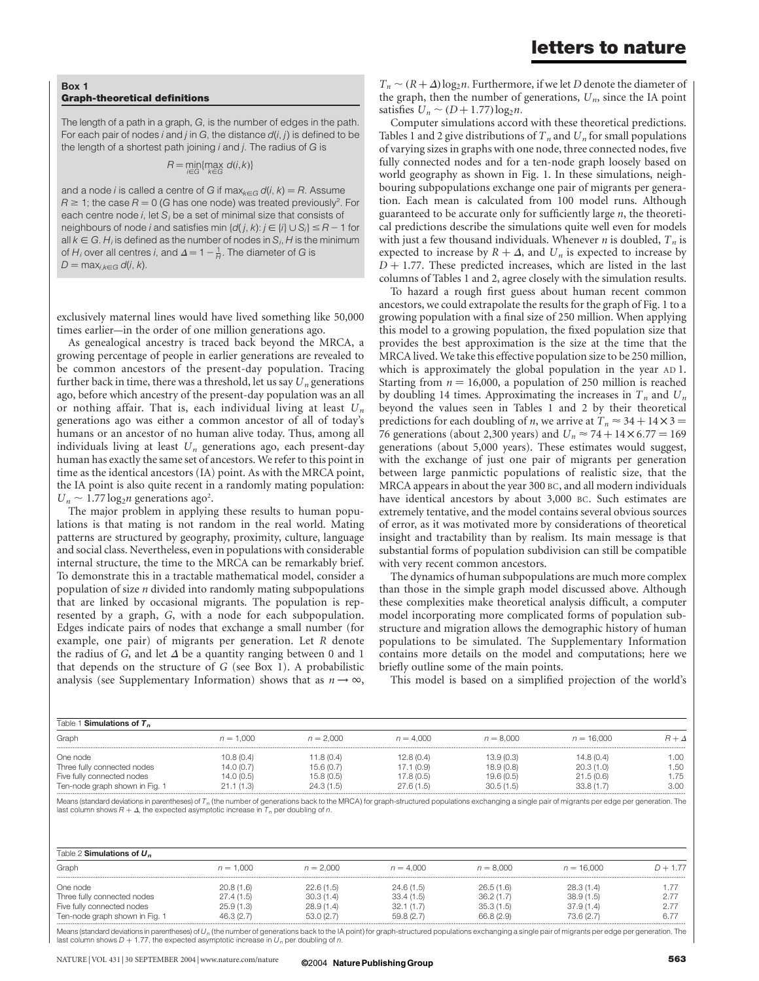#### Box 1 Graph-theoretical definitions

The length of a path in a graph, G, is the number of edges in the path. For each pair of nodes i and j in G, the distance  $d(i, j)$  is defined to be the length of a shortest path joining  $i$  and  $j$ . The radius of  $G$  is

$$
R = \min_{i \in G} \{ \max_{k \in G} d(i,k) \}
$$

and a node *i* is called a centre of G if max $_{k\in G}$  d(i, k) = R. Assume  $R \geq 1$ ; the case  $R = 0$  (G has one node) was treated previously<sup>2</sup>. For each centre node i, let  $S_i$  be a set of minimal size that consists of neighbours of node *i* and satisfies min  $\{d(j, k): j \in \{i\} \cup S_i\} \leq R - 1$  for all  $k \in G$ .  $H_i$  is defined as the number of nodes in  $\mathcal{S}_i$ ,  $H$  is the minimum of  $H_i$  over all centres  $i$ , and  $\varDelta = 1 - \frac{1}{H}.$  The diameter of  $G$  is  $D = \max_{i,k \in G} d(i, k).$ 

exclusively maternal lines would have lived something like 50,000 times earlier—in the order of one million generations ago.

As genealogical ancestry is traced back beyond the MRCA, a growing percentage of people in earlier generations are revealed to be common ancestors of the present-day population. Tracing further back in time, there was a threshold, let us say  $U_n$  generations ago, before which ancestry of the present-day population was an all or nothing affair. That is, each individual living at least  $U_n$ generations ago was either a common ancestor of all of today's humans or an ancestor of no human alive today. Thus, among all individuals living at least  $U_n$  generations ago, each present-day human has exactly the same set of ancestors. We refer to this point in time as the identical ancestors (IA) point. As with the MRCA point, the IA point is also quite recent in a randomly mating population:  $U_n \sim 1.77 \log_2 n$  generations ago<sup>2</sup>.

The major problem in applying these results to human populations is that mating is not random in the real world. Mating patterns are structured by geography, proximity, culture, language and social class. Nevertheless, even in populations with considerable internal structure, the time to the MRCA can be remarkably brief. To demonstrate this in a tractable mathematical model, consider a population of size  $n$  divided into randomly mating subpopulations that are linked by occasional migrants. The population is represented by a graph, G, with a node for each subpopulation. Edges indicate pairs of nodes that exchange a small number (for example, one pair) of migrants per generation. Let R denote the radius of G, and let  $\Delta$  be a quantity ranging between 0 and 1 that depends on the structure of G (see Box 1). A probabilistic analysis (see Supplementary Information) shows that as  $n \rightarrow \infty$ ,

 $T_n \sim (R + \Delta) \log_2 n$ . Furthermore, if we let D denote the diameter of the graph, then the number of generations,  $U_n$ , since the IA point satisfies  $U_n \sim (D + 1.77) \log_2 n$ .

Computer simulations accord with these theoretical predictions. Tables 1 and 2 give distributions of  $T_n$  and  $U_n$  for small populations of varying sizes in graphs with one node, three connected nodes, five fully connected nodes and for a ten-node graph loosely based on world geography as shown in Fig. 1. In these simulations, neighbouring subpopulations exchange one pair of migrants per generation. Each mean is calculated from 100 model runs. Although guaranteed to be accurate only for sufficiently large  $n$ , the theoretical predictions describe the simulations quite well even for models with just a few thousand individuals. Whenever *n* is doubled,  $T_n$  is expected to increase by  $R + \Delta$ , and  $U_n$  is expected to increase by  $D + 1.77$ . These predicted increases, which are listed in the last columns of Tables 1 and 2, agree closely with the simulation results.

To hazard a rough first guess about human recent common ancestors, we could extrapolate the results for the graph of Fig. 1 to a growing population with a final size of 250 million. When applying this model to a growing population, the fixed population size that provides the best approximation is the size at the time that the MRCA lived. We take this effective population size to be 250 million, which is approximately the global population in the year AD 1. Starting from  $n = 16,000$ , a population of 250 million is reached by doubling 14 times. Approximating the increases in  $T_n$  and  $U_n$ beyond the values seen in Tables 1 and 2 by their theoretical predictions for each doubling of *n*, we arrive at  $T_n \approx 34 + 14 \times 3 =$ 76 generations (about 2,300 years) and  $U_n \approx 74 + 14 \times 6.77 = 169$ generations (about 5,000 years). These estimates would suggest, with the exchange of just one pair of migrants per generation between large panmictic populations of realistic size, that the MRCA appears in about the year 300 BC, and all modern individuals have identical ancestors by about 3,000 BC. Such estimates are extremely tentative, and the model contains several obvious sources of error, as it was motivated more by considerations of theoretical insight and tractability than by realism. Its main message is that substantial forms of population subdivision can still be compatible with very recent common ancestors.

The dynamics of human subpopulations are much more complex than those in the simple graph model discussed above. Although these complexities make theoretical analysis difficult, a computer model incorporating more complicated forms of population substructure and migration allows the demographic history of human populations to be simulated. The Supplementary Information contains more details on the model and computations; here we briefly outline some of the main points.

This model is based on a simplified projection of the world's

| Simulations of T <sub>n</sub><br>Table 1 |             |             |             |             |              |       |  |  |
|------------------------------------------|-------------|-------------|-------------|-------------|--------------|-------|--|--|
| Graph                                    | $n = 1.000$ | $n = 2.000$ | $n = 4.000$ | $n = 8.000$ | $n = 16,000$ |       |  |  |
| One node                                 | 10.8(0.4)   | 1.8(0.4)    | 12.8 (0.4)  | 13.9 (0.3)  | 14.8 (0.4)   | 00.1  |  |  |
| Three fully connected nodes              | 14.0 (0.7)  | 15.6 (0.7)  | 17.1 (0.9)  | 18.9 (0.8)  | 20.3(1.0)    | . .50 |  |  |
| Five fully connected nodes               | 14.0 (0.5)  | 15.8 (0.5)  | 17.8 (0.5)  | 19.6 (0.5)  | 21.5(0.6)    | 1.75  |  |  |
| Ten-node graph shown in Fig. 1           | 21.1(1.3)   | 24.3(1.5)   | 27.6(1.5)   | 30.5(1.5)   | 33.8(1.7)    | 3.00  |  |  |

Means (standard deviations in parentheses) of  $T<sub>n</sub>$  (the number of generations back to the MRCA) for graph-structured populations exchanging a single pair of migrants per edge per generation. The last column shows  $R + \Delta$ , the expected asymptotic increase in  $T_n$  per doubling of n.

| Table 2 Simulations of $U_n$   |             |             |             |             |              |          |  |  |  |
|--------------------------------|-------------|-------------|-------------|-------------|--------------|----------|--|--|--|
| Graph                          | $n = 1.000$ | $n = 2.000$ | $n = 4.000$ | $n = 8.000$ | $n = 16.000$ | D + 1.77 |  |  |  |
| One node                       | 20.8(1.6)   | 22.6(1.5)   | 24.6(1.5)   | 26.5(1.6)   | 28.3(1.4)    | 2.77     |  |  |  |
| Three fully connected nodes    | 27.4(1.5)   | 30.3(1.4)   | 33.4(1.5)   | 36.2(1.7)   | 38.9(1.5)    |          |  |  |  |
| Five fully connected nodes     | 25.9(1.3)   | 28.9(1.4)   | 32.1(1.7)   | 35.3(1.5)   | 37.9(1.4)    | 2.77     |  |  |  |
| Ten-node graph shown in Fig. 1 | 46.3(2.7)   | 53.0(2.7)   | 59.8(2.7)   | 66.8 (2.9)  | 73.6 (2.7)   | 6.77     |  |  |  |

................................................................................................................................................................................................................................................................................................................................................................... Means (standard deviations in parentheses) of Un (the number of generations back to the IA point) for graph-structured populations exchanging a single pair of migrants per edge per generation. The last column shows  $D + 1.77$ , the expected asymptotic increase in  $U<sub>n</sub>$  per doubling of n.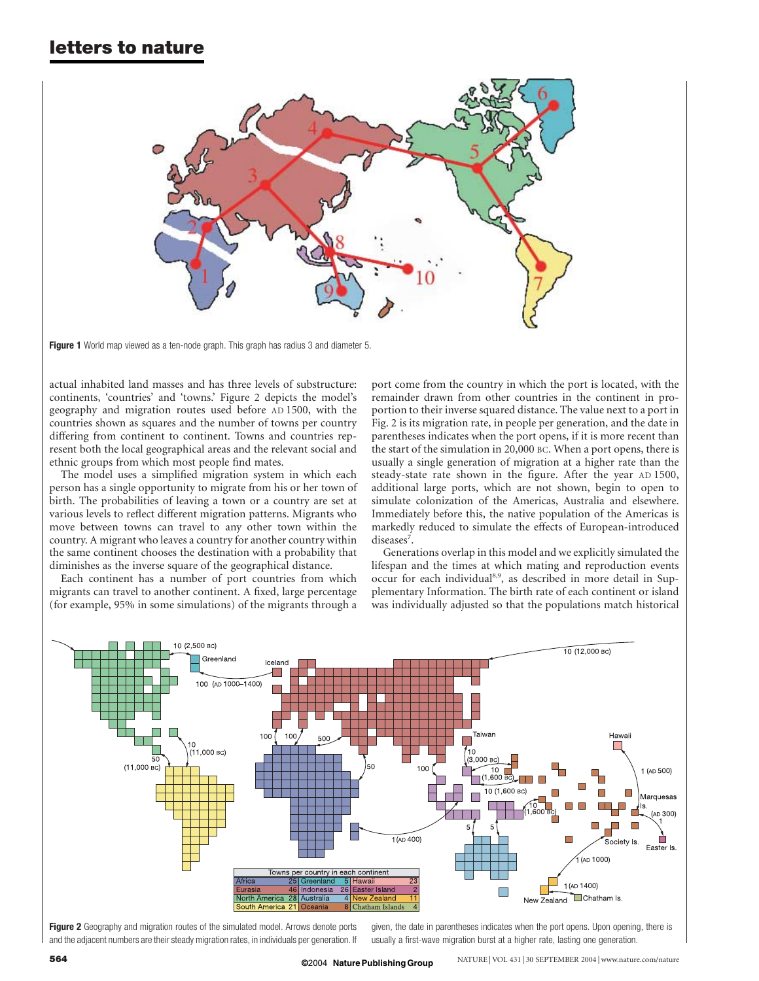### letters to nature



Figure 1 World map viewed as a ten-node graph. This graph has radius 3 and diameter 5.

actual inhabited land masses and has three levels of substructure: continents, 'countries' and 'towns.' Figure 2 depicts the model's geography and migration routes used before AD 1500, with the countries shown as squares and the number of towns per country differing from continent to continent. Towns and countries represent both the local geographical areas and the relevant social and ethnic groups from which most people find mates.

The model uses a simplified migration system in which each person has a single opportunity to migrate from his or her town of birth. The probabilities of leaving a town or a country are set at various levels to reflect different migration patterns. Migrants who move between towns can travel to any other town within the country. A migrant who leaves a country for another country within the same continent chooses the destination with a probability that diminishes as the inverse square of the geographical distance.

Each continent has a number of port countries from which migrants can travel to another continent. A fixed, large percentage (for example, 95% in some simulations) of the migrants through a

port come from the country in which the port is located, with the remainder drawn from other countries in the continent in proportion to their inverse squared distance. The value next to a port in Fig. 2 is its migration rate, in people per generation, and the date in parentheses indicates when the port opens, if it is more recent than the start of the simulation in 20,000 BC. When a port opens, there is usually a single generation of migration at a higher rate than the steady-state rate shown in the figure. After the year AD 1500, additional large ports, which are not shown, begin to open to simulate colonization of the Americas, Australia and elsewhere. Immediately before this, the native population of the Americas is markedly reduced to simulate the effects of European-introduced diseases<sup>7</sup>.

Generations overlap in this model and we explicitly simulated the lifespan and the times at which mating and reproduction events occur for each individual<sup>8,9</sup>, as described in more detail in Supplementary Information. The birth rate of each continent or island was individually adjusted so that the populations match historical



**Figure 2** Geography and migration routes of the simulated model. Arrows denote ports and the adjacent numbers are their steady migration rates, in individuals per generation. If

given, the date in parentheses indicates when the port opens. Upon opening, there is usually a first-wave migration burst at a higher rate, lasting one generation.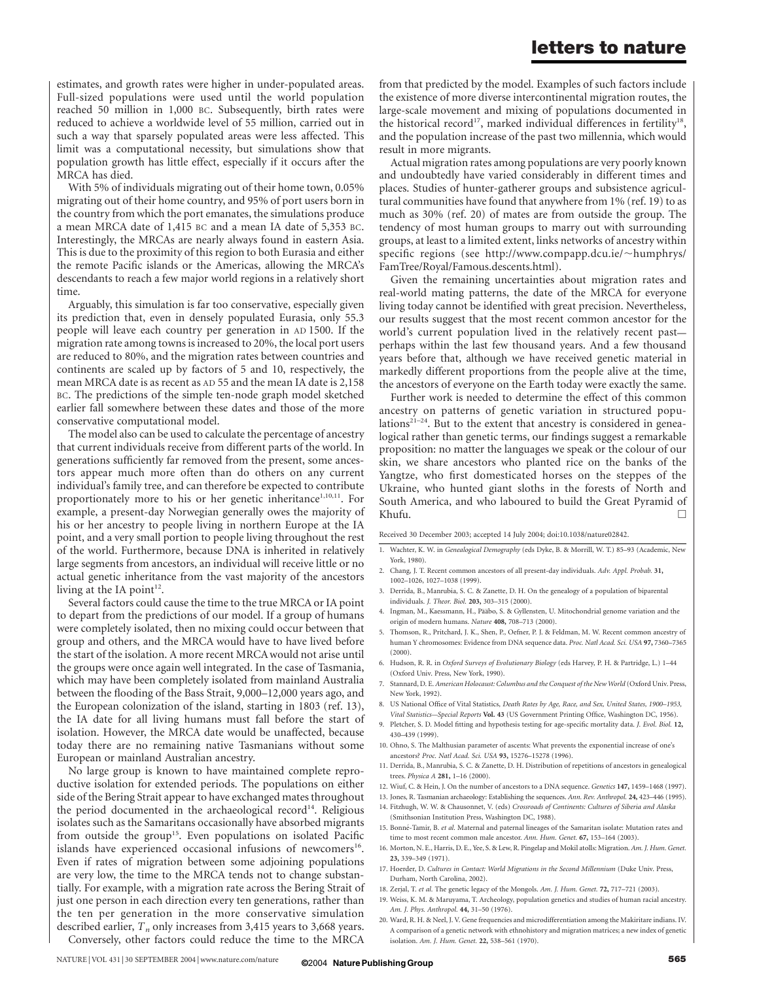estimates, and growth rates were higher in under-populated areas. Full-sized populations were used until the world population reached 50 million in 1,000 BC. Subsequently, birth rates were reduced to achieve a worldwide level of 55 million, carried out in such a way that sparsely populated areas were less affected. This limit was a computational necessity, but simulations show that population growth has little effect, especially if it occurs after the MRCA has died.

With 5% of individuals migrating out of their home town, 0.05% migrating out of their home country, and 95% of port users born in the country from which the port emanates, the simulations produce a mean MRCA date of 1,415 BC and a mean IA date of 5,353 BC. Interestingly, the MRCAs are nearly always found in eastern Asia. This is due to the proximity of this region to both Eurasia and either the remote Pacific islands or the Americas, allowing the MRCA's descendants to reach a few major world regions in a relatively short time.

Arguably, this simulation is far too conservative, especially given its prediction that, even in densely populated Eurasia, only 55.3 people will leave each country per generation in AD 1500. If the migration rate among towns is increased to 20%, the local port users are reduced to 80%, and the migration rates between countries and continents are scaled up by factors of 5 and 10, respectively, the mean MRCA date is as recent as AD 55 and the mean IA date is 2,158 BC. The predictions of the simple ten-node graph model sketched earlier fall somewhere between these dates and those of the more conservative computational model.

The model also can be used to calculate the percentage of ancestry that current individuals receive from different parts of the world. In generations sufficiently far removed from the present, some ancestors appear much more often than do others on any current individual's family tree, and can therefore be expected to contribute proportionately more to his or her genetic inheritance<sup>1,10,11</sup>. For example, a present-day Norwegian generally owes the majority of his or her ancestry to people living in northern Europe at the IA point, and a very small portion to people living throughout the rest of the world. Furthermore, because DNA is inherited in relatively large segments from ancestors, an individual will receive little or no actual genetic inheritance from the vast majority of the ancestors living at the IA point $12$ .

Several factors could cause the time to the true MRCA or IA point to depart from the predictions of our model. If a group of humans were completely isolated, then no mixing could occur between that group and others, and the MRCA would have to have lived before the start of the isolation. A more recent MRCA would not arise until the groups were once again well integrated. In the case of Tasmania, which may have been completely isolated from mainland Australia between the flooding of the Bass Strait, 9,000–12,000 years ago, and the European colonization of the island, starting in 1803 (ref. 13), the IA date for all living humans must fall before the start of isolation. However, the MRCA date would be unaffected, because today there are no remaining native Tasmanians without some European or mainland Australian ancestry.

No large group is known to have maintained complete reproductive isolation for extended periods. The populations on either side of the Bering Strait appear to have exchanged mates throughout the period documented in the archaeological record<sup>14</sup>. Religious isolates such as the Samaritans occasionally have absorbed migrants from outside the group<sup>15</sup>. Even populations on isolated Pacific islands have experienced occasional infusions of newcomers<sup>16</sup>. Even if rates of migration between some adjoining populations are very low, the time to the MRCA tends not to change substantially. For example, with a migration rate across the Bering Strait of just one person in each direction every ten generations, rather than the ten per generation in the more conservative simulation described earlier,  $T_n$  only increases from 3,415 years to 3,668 years. Conversely, other factors could reduce the time to the MRCA

from that predicted by the model. Examples of such factors include the existence of more diverse intercontinental migration routes, the large-scale movement and mixing of populations documented in the historical record<sup>17</sup>, marked individual differences in fertility<sup>18</sup>, and the population increase of the past two millennia, which would result in more migrants.

Actual migration rates among populations are very poorly known and undoubtedly have varied considerably in different times and places. Studies of hunter-gatherer groups and subsistence agricultural communities have found that anywhere from 1% (ref. 19) to as much as 30% (ref. 20) of mates are from outside the group. The tendency of most human groups to marry out with surrounding groups, at least to a limited extent, links networks of ancestry within specific regions (see http://www.compapp.dcu.ie/ $\sim$ humphrys/ FamTree/Royal/Famous.descents.html).

Given the remaining uncertainties about migration rates and real-world mating patterns, the date of the MRCA for everyone living today cannot be identified with great precision. Nevertheless, our results suggest that the most recent common ancestor for the world's current population lived in the relatively recent past perhaps within the last few thousand years. And a few thousand years before that, although we have received genetic material in markedly different proportions from the people alive at the time, the ancestors of everyone on the Earth today were exactly the same.

Further work is needed to determine the effect of this common ancestry on patterns of genetic variation in structured populations<sup>21-24</sup>. But to the extent that ancestry is considered in genealogical rather than genetic terms, our findings suggest a remarkable proposition: no matter the languages we speak or the colour of our skin, we share ancestors who planted rice on the banks of the Yangtze, who first domesticated horses on the steppes of the Ukraine, who hunted giant sloths in the forests of North and South America, and who laboured to build the Great Pyramid of Khufu.  $\Box$ 

Received 30 December 2003; accepted 14 July 2004; doi:10.1038/nature02842.

- 1. Wachter, K. W. in Genealogical Demography (eds Dyke, B. & Morrill, W. T.) 85–93 (Academic, New York, 1980).
- 2. Chang, J. T. Recent common ancestors of all present-day individuals. Adv. Appl. Probab. 31, 1002–1026, 1027–1038 (1999).
- 3. Derrida, B., Manrubia, S. C. & Zanette, D. H. On the genealogy of a population of biparental individuals. J. Theor. Biol. 203, 303–315 (2000).
- Ingman, M., Kaessmann, H., Pääbo, S. & Gyllensten, U. Mitochondrial genome variation and the origin of modern humans. Nature 408, 708–713 (2000).
- 5. Thomson, R., Pritchard, J. K., Shen, P., Oefner, P. J. & Feldman, M. W. Recent common ancestry of human Y chromosomes: Evidence from DNA sequence data. Proc. Natl Acad. Sci. USA 97, 7360-7365 (2000).
- 6. Hudson, R. R. in Oxford Surveys of Evolutionary Biology (eds Harvey, P. H. & Partridge, L.) 1–44 (Oxford Univ. Press, New York, 1990).
- 7. Stannard, D. E. American Holocaust: Columbus and the Conquest of the New World (Oxford Univ. Press, New York, 1992).
- 8. US National Office of Vital Statistics, Death Rates by Age, Race, and Sex, United States, 1900–1953, Vital Statistics—Special Reports Vol. 43 (US Government Printing Office, Washington DC, 1956).
- 9. Pletcher, S. D. Model fitting and hypothesis testing for age-specific mortality data. J. Evol. Biol. 12, 430–439 (1999).
- 10. Ohno, S. The Malthusian parameter of ascents: What prevents the exponential increase of one's ancestors? Proc. Natl Acad. Sci. USA 93, 15276–15278 (1996).
- 11. Derrida, B., Manrubia, S. C. & Zanette, D. H. Distribution of repetitions of ancestors in genealogical trees. Physica A 281, 1–16 (2000).
- 12. Wiuf, C. & Hein, J. On the number of ancestors to a DNA sequence. Genetics 147, 1459–1468 (1997).
- 13. Jones, R. Tasmanian archaeology: Establishing the sequences. Ann. Rev. Anthropol. 24, 423–446 (1995).
- 14. Fitzhugh, W. W. & Chausonnet, V. (eds) Crossroads of Continents: Cultures of Siberia and Alaska (Smithsonian Institution Press, Washington DC, 1988).
- 15. Bonné-Tamir, B. et al. Maternal and paternal lineages of the Samaritan isolate: Mutation rates and time to most recent common male ancestor. Ann. Hum. Genet. 67, 153-164 (2003).
- 16. Morton, N. E., Harris, D. E., Yee, S. & Lew, R. Pingelap and Mokil atolls: Migration. Am. J. Hum. Genet. 23, 339–349 (1971).
- 17. Hoerder, D. Cultures in Contact: World Migrations in the Second Millennium (Duke Univ. Press, Durham, North Carolina, 2002).
- 18. Zerjal, T. et al. The genetic legacy of the Mongols. Am. J. Hum. Genet. 72, 717-721 (2003).
- 19. Weiss, K. M. & Maruyama, T. Archeology, population genetics and studies of human racial ancestry. Am. J. Phys. Anthropol. 44, 31–50 (1976).
- 20. Ward, R. H. & Neel, J. V. Gene frequencies and microdifferentiation among the Makiritare indians. IV. A comparison of a genetic network with ethnohistory and migration matrices; a new index of genetic isolation. Am. J. Hum. Genet. 22, 538–561 (1970).